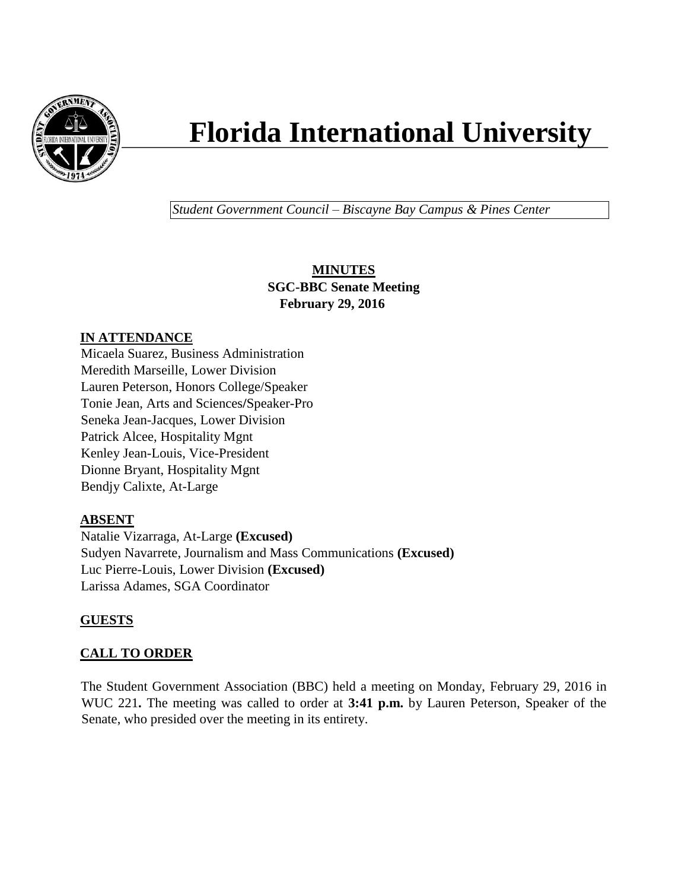

# **Florida International University**

*Student Government Council – Biscayne Bay Campus & Pines Center*

# **MINUTES SGC-BBC Senate Meeting February 29, 2016**

# **IN ATTENDANCE**

Micaela Suarez, Business Administration Meredith Marseille, Lower Division Lauren Peterson, Honors College/Speaker Tonie Jean, Arts and Sciences**/**Speaker-Pro Seneka Jean-Jacques, Lower Division Patrick Alcee, Hospitality Mgnt Kenley Jean-Louis, Vice-President Dionne Bryant, Hospitality Mgnt Bendjy Calixte, At-Large

#### **ABSENT**

Natalie Vizarraga, At-Large **(Excused)** Sudyen Navarrete, Journalism and Mass Communications **(Excused)** Luc Pierre-Louis, Lower Division **(Excused)** Larissa Adames, SGA Coordinator

# **GUESTS**

# **CALL TO ORDER**

The Student Government Association (BBC) held a meeting on Monday, February 29, 2016 in WUC 221**.** The meeting was called to order at **3:41 p.m.** by Lauren Peterson, Speaker of the Senate, who presided over the meeting in its entirety.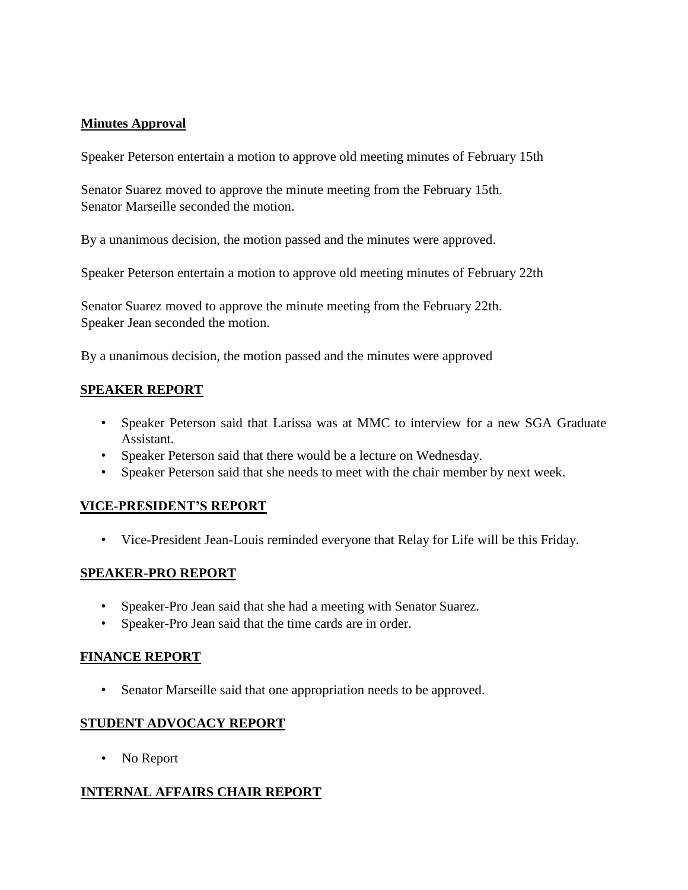## **Minutes Approval**

Speaker Peterson entertain a motion to approve old meeting minutes of February 15th

Senator Suarez moved to approve the minute meeting from the February 15th. Senator Marseille seconded the motion.

By a unanimous decision, the motion passed and the minutes were approved.

Speaker Peterson entertain a motion to approve old meeting minutes of February 22th

Senator Suarez moved to approve the minute meeting from the February 22th. Speaker Jean seconded the motion.

By a unanimous decision, the motion passed and the minutes were approved

#### **SPEAKER REPORT**

- Speaker Peterson said that Larissa was at MMC to interview for a new SGA Graduate Assistant.
- Speaker Peterson said that there would be a lecture on Wednesday.
- Speaker Peterson said that she needs to meet with the chair member by next week.

#### **VICE-PRESIDENT'S REPORT**

• Vice-President Jean-Louis reminded everyone that Relay for Life will be this Friday.

#### **SPEAKER-PRO REPORT**

- Speaker-Pro Jean said that she had a meeting with Senator Suarez.
- Speaker-Pro Jean said that the time cards are in order.

#### **FINANCE REPORT**

• Senator Marseille said that one appropriation needs to be approved.

#### **STUDENT ADVOCACY REPORT**

• No Report

#### **INTERNAL AFFAIRS CHAIR REPORT**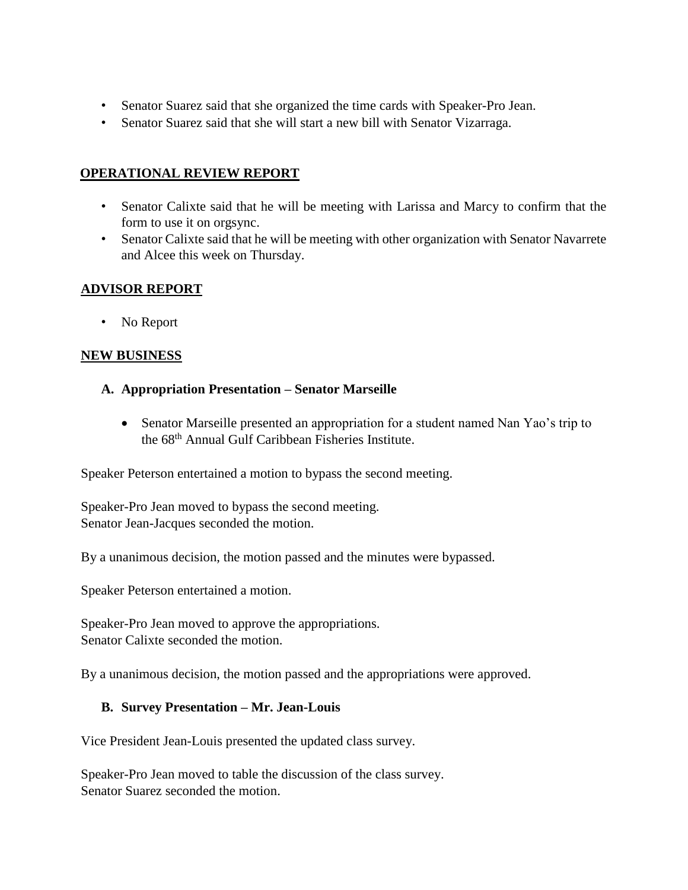- Senator Suarez said that she organized the time cards with Speaker-Pro Jean.
- Senator Suarez said that she will start a new bill with Senator Vizarraga.

## **OPERATIONAL REVIEW REPORT**

- Senator Calixte said that he will be meeting with Larissa and Marcy to confirm that the form to use it on orgsync.
- Senator Calixte said that he will be meeting with other organization with Senator Navarrete and Alcee this week on Thursday.

## **ADVISOR REPORT**

• No Report

#### **NEW BUSINESS**

- **A. Appropriation Presentation – Senator Marseille**
	- Senator Marseille presented an appropriation for a student named Nan Yao's trip to the 68th Annual Gulf Caribbean Fisheries Institute.

Speaker Peterson entertained a motion to bypass the second meeting.

Speaker-Pro Jean moved to bypass the second meeting. Senator Jean-Jacques seconded the motion.

By a unanimous decision, the motion passed and the minutes were bypassed.

Speaker Peterson entertained a motion.

Speaker-Pro Jean moved to approve the appropriations. Senator Calixte seconded the motion.

By a unanimous decision, the motion passed and the appropriations were approved.

#### **B. Survey Presentation – Mr. Jean-Louis**

Vice President Jean-Louis presented the updated class survey.

Speaker-Pro Jean moved to table the discussion of the class survey. Senator Suarez seconded the motion.